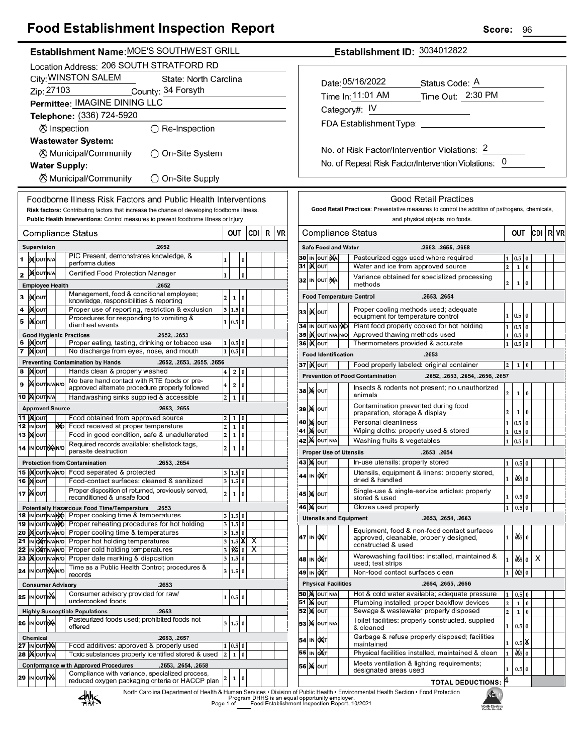## **Egod Establishment Inspection Penert**

| Food Establishment inspection Report                                                                                                      | <b>score:</b><br>96                                                                                                                                                    |  |  |  |  |  |
|-------------------------------------------------------------------------------------------------------------------------------------------|------------------------------------------------------------------------------------------------------------------------------------------------------------------------|--|--|--|--|--|
| Establishment Name: MOE'S SOUTHWEST GRILL                                                                                                 | Establishment ID: 3034012822                                                                                                                                           |  |  |  |  |  |
| Location Address: 206 SOUTH STRATFORD RD                                                                                                  |                                                                                                                                                                        |  |  |  |  |  |
| City: WINSTON SALEM<br>State: North Carolina                                                                                              |                                                                                                                                                                        |  |  |  |  |  |
| Zip: 27103<br>County: 34 Forsyth                                                                                                          | Date: 05/16/2022<br>Status Code: A                                                                                                                                     |  |  |  |  |  |
| Permittee: IMAGINE DINING LLC                                                                                                             | Time In: 11:01 AM<br>Time Out: 2:30 PM                                                                                                                                 |  |  |  |  |  |
| Telephone: (336) 724-5920                                                                                                                 | Category#: IV                                                                                                                                                          |  |  |  |  |  |
|                                                                                                                                           | FDA Establishment Type:                                                                                                                                                |  |  |  |  |  |
| ⊗ Inspection<br>$\bigcirc$ Re-Inspection                                                                                                  |                                                                                                                                                                        |  |  |  |  |  |
| <b>Wastewater System:</b>                                                                                                                 | No. of Risk Factor/Intervention Violations: 2                                                                                                                          |  |  |  |  |  |
| ○ On-Site System<br>⊗ Municipal/Community                                                                                                 |                                                                                                                                                                        |  |  |  |  |  |
| <b>Water Supply:</b>                                                                                                                      | No. of Repeat Risk Factor/Intervention Violations: 0                                                                                                                   |  |  |  |  |  |
| <b><math>\oslash</math> Municipal/Community</b><br>○ On-Site Supply                                                                       |                                                                                                                                                                        |  |  |  |  |  |
| Foodborne Illness Risk Factors and Public Health Interventions                                                                            | <b>Good Retail Practices</b>                                                                                                                                           |  |  |  |  |  |
| Risk factors: Contributing factors that increase the chance of developing foodborne illness.                                              | Good Retail Practices: Preventative measures to control the addition of pathogens, chemicals,                                                                          |  |  |  |  |  |
| Public Health Interventions: Control measures to prevent foodborne illness or injury                                                      | and physical objects into foods.                                                                                                                                       |  |  |  |  |  |
| CDI<br>R<br>VR<br>OUT<br>Compliance Status                                                                                                | <b>Compliance Status</b><br> CDI R VF<br>OUT                                                                                                                           |  |  |  |  |  |
| Supervision<br>.2652                                                                                                                      | <b>Safe Food and Water</b><br>.2653, .2655, .2658                                                                                                                      |  |  |  |  |  |
| PIC Present, demonstrates knowledge, &<br>1 <b>D</b> OUTNA<br>0                                                                           | Pasteurized eggs used where required<br>30 IN OUT NA<br>1   0.5   0                                                                                                    |  |  |  |  |  |
| performs duties                                                                                                                           | 31 <b>Kour</b><br>$1\overline{0}$<br>Water and ice from approved source<br>2 <sup>1</sup>                                                                              |  |  |  |  |  |
| <b>XOUTNA</b><br>Certified Food Protection Manager<br>2<br>$\pmb{0}$                                                                      | Variance obtained for specialized processing<br>32 IN OUT NA<br>$\overline{2}$<br>l0<br>$\mathbf{1}$<br>methods                                                        |  |  |  |  |  |
| <b>Employee Health</b><br>.2652<br>Management, food & conditional employee;                                                               |                                                                                                                                                                        |  |  |  |  |  |
| 3   MOUT<br>$\overline{a}$<br>1 0<br>knowledge, responsibilities & reporting                                                              | <b>Food Temperature Control</b><br>.2653, .2654                                                                                                                        |  |  |  |  |  |
| <b>KOUT</b><br>Proper use of reporting, restriction & exclusion<br>4<br>3   1.5   0<br>Procedures for responding to vomiting &            | Proper cooling methods used; adequate<br>33 Kour<br>1   0.5   0<br>equipment for temperature control                                                                   |  |  |  |  |  |
| <b>XOUT</b><br>5<br>1 0.5 0<br>diarrheal events                                                                                           | Plant food properly cooked for hot holding<br>$1 \quad 0.5 \quad 0$<br>34 IN OUT N/A NO                                                                                |  |  |  |  |  |
| <b>Good Hygienic Practices</b><br>.2652, .2653                                                                                            | 35 IN OUT N/A N/O<br>Approved thawing methods used<br>$1\overline{)0.5\overline{0}$                                                                                    |  |  |  |  |  |
| 6  Kout<br>Proper eating, tasting, drinking or tobacco use<br>1   0.5   0<br>7 MOUT<br>1 0.5 0<br>No discharge from eyes, nose, and mouth | 36   0uT<br>Thermometers provided & accurate<br>$1 \vert 0.5 \vert 0$                                                                                                  |  |  |  |  |  |
| <b>Preventing Contamination by Hands</b><br>.2652, .2653, .2655, .2656                                                                    | <b>Food Identification</b><br>.2653                                                                                                                                    |  |  |  |  |  |
| Hands clean & properly washed<br>8 MOUT<br>2 0<br>$\bf{4}$                                                                                | 37   K   OUT<br>Food properly labeled: original container<br>$2 \mid 1 \mid 0$                                                                                         |  |  |  |  |  |
| No bare hand contact with RTE foods or pre-<br>9 MOUTNANO<br>$\overline{4}$<br>2 0                                                        | <b>Prevention of Food Contamination</b><br>.2652, .2653, .2654, .2656, .2657                                                                                           |  |  |  |  |  |
| approved alternate procedure properly followed<br>10   OUT N/A                                                                            | Insects & rodents not present; no unauthorized<br><b>38 М</b> оит<br>$\overline{a}$<br>$1 \ 0$<br>animals                                                              |  |  |  |  |  |
| Handwashing sinks supplied & accessible<br>$2 \mid 1 \mid 0$<br><b>Approved Source</b><br>.2653, .2655                                    | Contamination prevented during food                                                                                                                                    |  |  |  |  |  |
| <b>11  </b> Молт<br>Food obtained from approved source<br>$\vert$ 2<br>1 0                                                                | <b>39 X</b> оит<br>$\mathbf{2}$<br>$1\vert 0$<br>preparation, storage & display                                                                                        |  |  |  |  |  |
| 12 IN OUT<br><b>NO</b><br>Food received at proper temperature<br>$\overline{\mathbf{c}}$<br>1 0                                           | <b>40 M OUT</b><br>Personal cleanliness<br>$1\overline{0.5}$ 0<br><b>41 M OUT</b><br>Wiping cloths: properly used & stored                                             |  |  |  |  |  |
| <b>13 Молт</b><br>Food in good condition, safe & unadulterated<br>$\overline{\mathbf{c}}$<br>1 0                                          | $1 \vert 0.5 \vert 0$<br><b>42 X</b> OUT N/A<br>$1 \ 0.5 \ 0$<br>Washing fruits & vegetables                                                                           |  |  |  |  |  |
| Required records available: shellstock tags,<br>2<br>14 IN OUT NAINO<br>1 0<br>parasite destruction                                       | <b>Proper Use of Utensils</b><br>.2653, .2654                                                                                                                          |  |  |  |  |  |
| <b>Protection from Contamination</b><br>.2653, .2654                                                                                      | 43   00т<br>In-use utensils: properly stored<br>$1 \vert 0.5 \vert 0$                                                                                                  |  |  |  |  |  |
| 15   Nout NANO Food separated & protected<br>3   1.5   0                                                                                  | Utensils, equipment & linens: properly stored,<br>44 IN OXT                                                                                                            |  |  |  |  |  |
| <b>16 MOUT</b><br>Food-contact surfaces: cleaned & sanitized<br>3 1.5 0                                                                   | 050<br>$1\vert$<br>dried & handled                                                                                                                                     |  |  |  |  |  |
| Proper disposition of returned, previously served,<br>17   NOUT<br>$\overline{\mathbf{c}}$<br>1 0<br>reconditioned & unsafe food          | Single-use & single-service articles: properly<br>45 M out<br>1<br>$0.5\vert 0$<br>stored & used                                                                       |  |  |  |  |  |
| Potentially Hazardous Food Time/Temperature .2653                                                                                         | Gloves used properly<br><b>46 X</b>  оит<br>$0.5\vert 0$<br>$\mathbf{1}$                                                                                               |  |  |  |  |  |
| 18 IN OUT N/ANO Proper cooking time & temperatures<br>3   1.5   0                                                                         | <b>Utensils and Equipment</b><br>.2653, .2654, .2663                                                                                                                   |  |  |  |  |  |
| Proper reheating procedures for hot holding<br>3 1.5 0<br>19 IN OUT N/ANO<br>20 MOUTNANO<br>Proper cooling time & temperatures<br>3 1.5 0 | Equipment, food & non-food contact surfaces                                                                                                                            |  |  |  |  |  |
| 21 IN OXT N/AN/O<br>Proper hot holding temperatures<br>$3 \mid 1.5 \mid \mathbb{X}$<br>X                                                  | $x = 0$<br>47 IN OUT<br>1<br>approved, cleanable, properly designed,                                                                                                   |  |  |  |  |  |
| Proper cold holding temperatures<br>22 IN OXTNANO<br>$ \mathbf{X} _0$<br>3<br>X                                                           | constructed & used                                                                                                                                                     |  |  |  |  |  |
| 23   OUT N/AN/O<br>Proper date marking & disposition<br>3 1.5 0                                                                           | Warewashing facilities: installed, maintained &<br>$\frac{d}{d}$ 0<br>$\times$<br>48 IN OXT<br>$\mathbf{1}$<br>used; test strips                                       |  |  |  |  |  |
| Time as a Public Health Control; procedures &<br>24 IN OUT MANO<br>3 1.5 0<br>records                                                     | 49 IN OXT<br>Non-food contact surfaces clean<br>$\frac{1}{2}$ 0<br>$\mathbf{1}$                                                                                        |  |  |  |  |  |
| .2653<br><b>Consumer Advisory</b>                                                                                                         | <b>Physical Facilities</b><br>.2654, .2655, .2656                                                                                                                      |  |  |  |  |  |
| Consumer advisory provided for raw/<br>25 IN OUT NA<br>1 0.5 0                                                                            | <b>50 X OUT N/A</b><br>Hot & cold water available; adequate pressure<br>$1 \t0.5 \t0$                                                                                  |  |  |  |  |  |
| undercooked foods<br><b>Highly Susceptible Populations</b><br>.2653                                                                       | <b>51 Mout</b><br>Plumbing installed; proper backflow devices<br>$\mathbf{2}$<br>$1\quad0$<br><b>52 MOUT</b><br>Sewage & wastewater properly disposed<br> 2 <br>$1\ 0$ |  |  |  |  |  |
| Pasteurized foods used; prohibited foods not<br>26 IN OUT NA<br>3   1.5   0                                                               | Toilet facilities: properly constructed, supplied                                                                                                                      |  |  |  |  |  |
| offered                                                                                                                                   | <b>53 X</b> OUT N/A<br>$1 \ 0.5 \ 0$<br>& cleaned                                                                                                                      |  |  |  |  |  |
| Chemical<br>.2653, .2657<br>Food additives: approved & properly used<br>27 IN OUT NA                                                      | Garbage & refuse properly disposed; facilities<br>54 IN OXT<br>$0.5$ $X$<br>$\mathbf{1}$<br>maintained                                                                 |  |  |  |  |  |
| 1   0.5   0<br>Toxic substances properly identified stored & used<br>28   OUT N/A<br>$1\vert 0$<br>$\overline{2}$                         | $\frac{1}{26}$ 0<br>55 IN OUT<br>Physical facilities installed, maintained & clean<br>$\mathbf{1}$                                                                     |  |  |  |  |  |
| <b>Conformance with Approved Procedures</b><br>.2653, .2654, .2658                                                                        | Meets ventilation & lighting requirements;<br>56 X OUT                                                                                                                 |  |  |  |  |  |
| Compliance with variance, specialized process,<br><b>29 IN OUT NA</b><br>1 0<br>2                                                         | 1<br>$0.5\vert 0$<br>designated areas used                                                                                                                             |  |  |  |  |  |
| reduced oxygen packaging criteria or HACCP plan                                                                                           | <b>TOTAL DEDUCTIONS: 4</b>                                                                                                                                             |  |  |  |  |  |

North Carolina Department of Health & Human Services . Division of Public Health . Environmental Health Section . Food Protection<br>Program DHHS is an equal opportunity employer.<br>Food Establishment Inspection Report, 10/2021



NGPH North Carolina<br>Public Health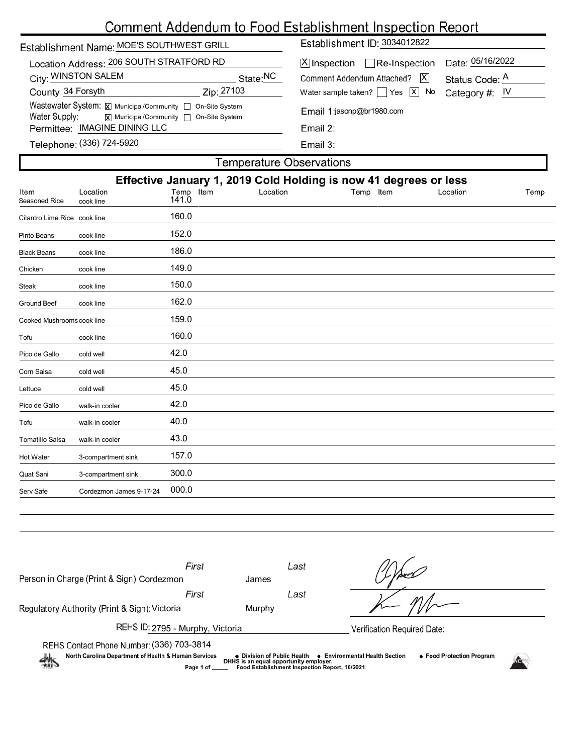# Comment Addendum to Food Establishment Inspection Report

| Establishment Name: MOE'S SOUTHWEST GRILL                                                                                   | Establishment ID: 3034012822                                                                                              |  |  |  |  |  |
|-----------------------------------------------------------------------------------------------------------------------------|---------------------------------------------------------------------------------------------------------------------------|--|--|--|--|--|
| Location Address: 206 SOUTH STRATFORD RD<br>City: WINSTON SALEM<br>State:NC                                                 | Date: 05/16/2022<br>$ \mathsf{X} $ Inspection $\Box$ Re-Inspection<br> X <br>Comment Addendum Attached?<br>Status Code: A |  |  |  |  |  |
| County: 34 Forsyth<br>Zip: 27103                                                                                            | Water sample taken? $\Box$ Yes $\Box$ No<br>Category #: IV                                                                |  |  |  |  |  |
| Wastewater System: X Municipal/Community   On-Site System<br>Water Supply:<br><b>x</b> Municipal/Community □ On-Site System | Email 1:jasonp@br1980.com                                                                                                 |  |  |  |  |  |
| Permittee: IMAGINE DINING LLC                                                                                               | Email 2:                                                                                                                  |  |  |  |  |  |
| Telephone: (336) 724-5920                                                                                                   | Email $3:$                                                                                                                |  |  |  |  |  |
| <b>Temperature Observations</b>                                                                                             |                                                                                                                           |  |  |  |  |  |

| Effective January 1, 2019 Cold Holding is now 41 degrees or less |                         |                    |          |              |          |      |
|------------------------------------------------------------------|-------------------------|--------------------|----------|--------------|----------|------|
| Item<br>Seasoned Rice                                            | Location<br>cook line   | Temp Item<br>141.0 | Location | Temp<br>Item | Location | Temp |
| Cilantro Lime Rice cook line                                     |                         | 160.0              |          |              |          |      |
| Pinto Beans                                                      | cook line               | 152.0              |          |              |          |      |
| <b>Black Beans</b>                                               | cook line               | 186.0              |          |              |          |      |
| Chicken                                                          | cook line               | 149.0              |          |              |          |      |
| <b>Steak</b>                                                     | cook line               | 150.0              |          |              |          |      |
| <b>Ground Beef</b>                                               | cook line               | 162.0              |          |              |          |      |
| Cooked Mushrooms cook line                                       |                         | 159.0              |          |              |          |      |
| Tofu                                                             | cook line               | 160.0              |          |              |          |      |
| Pico de Gallo                                                    | cold well               | 42.0               |          |              |          |      |
| Corn Salsa                                                       | cold well               | 45.0               |          |              |          |      |
| Lettuce                                                          | cold well               | 45.0               |          |              |          |      |
| Pico de Gallo                                                    | walk-in cooler          | 42.0               |          |              |          |      |
| Tofu                                                             | walk-in cooler          | 40.0               |          |              |          |      |
| <b>Tomatillo Salsa</b>                                           | walk-in cooler          | 43.0               |          |              |          |      |
| Hot Water                                                        | 3-compartment sink      | 157.0              |          |              |          |      |
| Quat Sani                                                        | 3-compartment sink      | 300.0              |          |              |          |      |
| Serv Safe                                                        | Cordezmon James 9-17-24 | 000.0              |          |              |          |      |
|                                                                  |                         |                    |          |              |          |      |

| Person in Charge (Print & Sign): Cordezmon                                                                                                                                                                                                                                                                                 | First | James  | Last |                             |  |  |
|----------------------------------------------------------------------------------------------------------------------------------------------------------------------------------------------------------------------------------------------------------------------------------------------------------------------------|-------|--------|------|-----------------------------|--|--|
|                                                                                                                                                                                                                                                                                                                            | First |        | Last |                             |  |  |
| Regulatory Authority (Print & Sign): Victoria                                                                                                                                                                                                                                                                              |       | Murphy |      |                             |  |  |
| REHS ID: 2795 - Murphy, Victoria                                                                                                                                                                                                                                                                                           |       |        |      | Verification Required Date: |  |  |
| REHS Contact Phone Number: (336) 703-3814<br>North Carolina Department of Health & Human Services<br>• Food Protection Program<br>● Environmental Health Section<br>● Division of Public Health<br>DHHS is an equal opportunity employer.<br>$\frac{1}{2}$<br>Food Establishment Inspection Report, 10/2021<br>Page 1 of _ |       |        |      |                             |  |  |